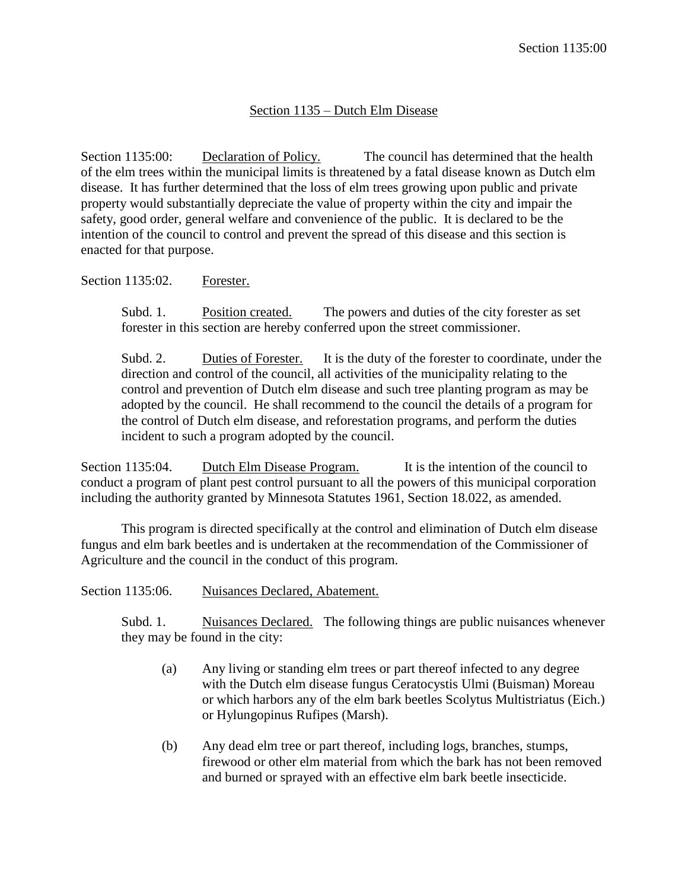## Section 1135 – Dutch Elm Disease

Section 1135:00: Declaration of Policy. The council has determined that the health of the elm trees within the municipal limits is threatened by a fatal disease known as Dutch elm disease. It has further determined that the loss of elm trees growing upon public and private property would substantially depreciate the value of property within the city and impair the safety, good order, general welfare and convenience of the public. It is declared to be the intention of the council to control and prevent the spread of this disease and this section is enacted for that purpose.

## Section 1135:02. Forester.

Subd. 1. Position created. The powers and duties of the city forester as set forester in this section are hereby conferred upon the street commissioner.

Subd. 2. Duties of Forester. It is the duty of the forester to coordinate, under the direction and control of the council, all activities of the municipality relating to the control and prevention of Dutch elm disease and such tree planting program as may be adopted by the council. He shall recommend to the council the details of a program for the control of Dutch elm disease, and reforestation programs, and perform the duties incident to such a program adopted by the council.

Section 1135:04. Dutch Elm Disease Program. It is the intention of the council to conduct a program of plant pest control pursuant to all the powers of this municipal corporation including the authority granted by Minnesota Statutes 1961, Section 18.022, as amended.

This program is directed specifically at the control and elimination of Dutch elm disease fungus and elm bark beetles and is undertaken at the recommendation of the Commissioner of Agriculture and the council in the conduct of this program.

| Nuisances Declared, Abatement. |
|--------------------------------|

Subd. 1. Nuisances Declared. The following things are public nuisances whenever they may be found in the city:

- (a) Any living or standing elm trees or part thereof infected to any degree with the Dutch elm disease fungus Ceratocystis Ulmi (Buisman) Moreau or which harbors any of the elm bark beetles Scolytus Multistriatus (Eich.) or Hylungopinus Rufipes (Marsh).
- (b) Any dead elm tree or part thereof, including logs, branches, stumps, firewood or other elm material from which the bark has not been removed and burned or sprayed with an effective elm bark beetle insecticide.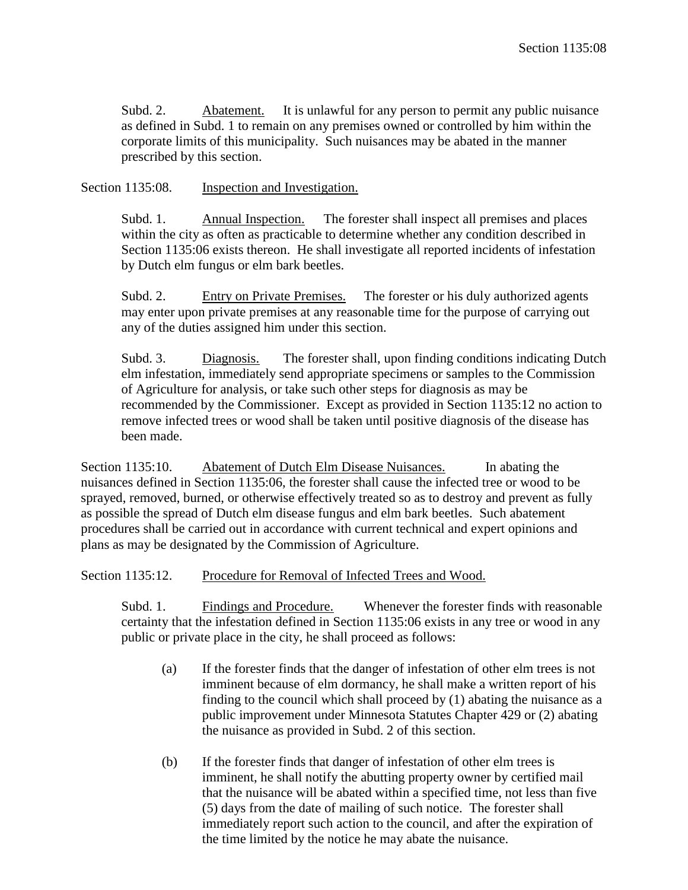Subd. 2. Abatement. It is unlawful for any person to permit any public nuisance as defined in Subd. 1 to remain on any premises owned or controlled by him within the corporate limits of this municipality. Such nuisances may be abated in the manner prescribed by this section.

Section 1135:08. Inspection and Investigation.

Subd. 1. Annual Inspection. The forester shall inspect all premises and places within the city as often as practicable to determine whether any condition described in Section 1135:06 exists thereon. He shall investigate all reported incidents of infestation by Dutch elm fungus or elm bark beetles.

Subd. 2. Entry on Private Premises. The forester or his duly authorized agents may enter upon private premises at any reasonable time for the purpose of carrying out any of the duties assigned him under this section.

Subd. 3. Diagnosis. The forester shall, upon finding conditions indicating Dutch elm infestation, immediately send appropriate specimens or samples to the Commission of Agriculture for analysis, or take such other steps for diagnosis as may be recommended by the Commissioner. Except as provided in Section 1135:12 no action to remove infected trees or wood shall be taken until positive diagnosis of the disease has been made.

Section 1135:10. Abatement of Dutch Elm Disease Nuisances. In abating the nuisances defined in Section 1135:06, the forester shall cause the infected tree or wood to be sprayed, removed, burned, or otherwise effectively treated so as to destroy and prevent as fully as possible the spread of Dutch elm disease fungus and elm bark beetles. Such abatement procedures shall be carried out in accordance with current technical and expert opinions and plans as may be designated by the Commission of Agriculture.

Section 1135:12. Procedure for Removal of Infected Trees and Wood.

Subd. 1. Findings and Procedure. Whenever the forester finds with reasonable certainty that the infestation defined in Section 1135:06 exists in any tree or wood in any public or private place in the city, he shall proceed as follows:

- (a) If the forester finds that the danger of infestation of other elm trees is not imminent because of elm dormancy, he shall make a written report of his finding to the council which shall proceed by (1) abating the nuisance as a public improvement under Minnesota Statutes Chapter 429 or (2) abating the nuisance as provided in Subd. 2 of this section.
- (b) If the forester finds that danger of infestation of other elm trees is imminent, he shall notify the abutting property owner by certified mail that the nuisance will be abated within a specified time, not less than five (5) days from the date of mailing of such notice. The forester shall immediately report such action to the council, and after the expiration of the time limited by the notice he may abate the nuisance.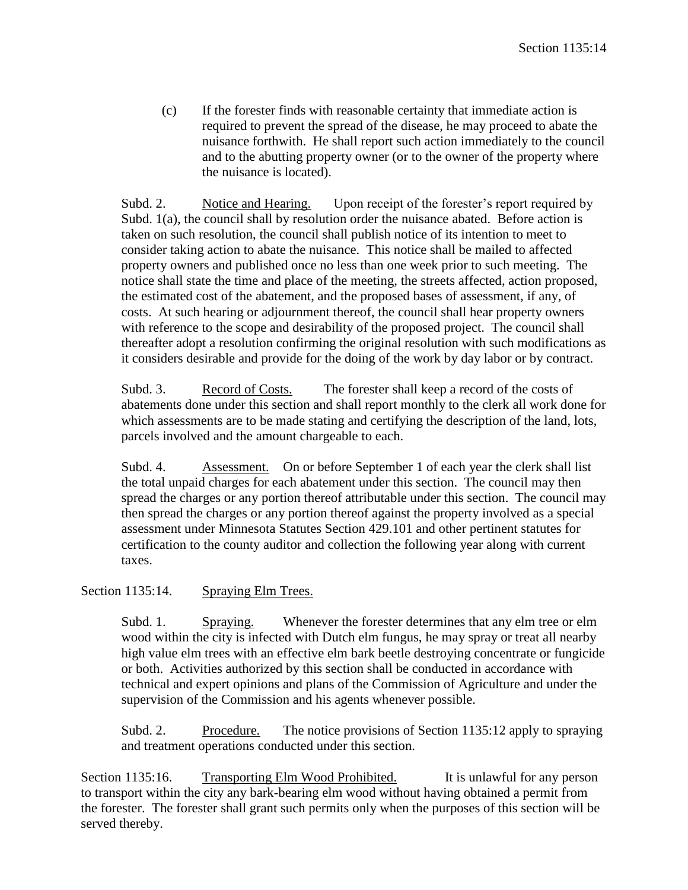(c) If the forester finds with reasonable certainty that immediate action is required to prevent the spread of the disease, he may proceed to abate the nuisance forthwith. He shall report such action immediately to the council and to the abutting property owner (or to the owner of the property where the nuisance is located).

Subd. 2. Notice and Hearing. Upon receipt of the forester's report required by Subd. 1(a), the council shall by resolution order the nuisance abated. Before action is taken on such resolution, the council shall publish notice of its intention to meet to consider taking action to abate the nuisance. This notice shall be mailed to affected property owners and published once no less than one week prior to such meeting. The notice shall state the time and place of the meeting, the streets affected, action proposed, the estimated cost of the abatement, and the proposed bases of assessment, if any, of costs. At such hearing or adjournment thereof, the council shall hear property owners with reference to the scope and desirability of the proposed project. The council shall thereafter adopt a resolution confirming the original resolution with such modifications as it considers desirable and provide for the doing of the work by day labor or by contract.

Subd. 3. Record of Costs. The forester shall keep a record of the costs of abatements done under this section and shall report monthly to the clerk all work done for which assessments are to be made stating and certifying the description of the land, lots, parcels involved and the amount chargeable to each.

Subd. 4. Assessment. On or before September 1 of each year the clerk shall list the total unpaid charges for each abatement under this section. The council may then spread the charges or any portion thereof attributable under this section. The council may then spread the charges or any portion thereof against the property involved as a special assessment under Minnesota Statutes Section 429.101 and other pertinent statutes for certification to the county auditor and collection the following year along with current taxes.

Section 1135:14. Spraying Elm Trees.

Subd. 1. Spraying. Whenever the forester determines that any elm tree or elm wood within the city is infected with Dutch elm fungus, he may spray or treat all nearby high value elm trees with an effective elm bark beetle destroying concentrate or fungicide or both. Activities authorized by this section shall be conducted in accordance with technical and expert opinions and plans of the Commission of Agriculture and under the supervision of the Commission and his agents whenever possible.

Subd. 2. Procedure. The notice provisions of Section 1135:12 apply to spraying and treatment operations conducted under this section.

Section 1135:16. Transporting Elm Wood Prohibited. It is unlawful for any person to transport within the city any bark-bearing elm wood without having obtained a permit from the forester. The forester shall grant such permits only when the purposes of this section will be served thereby.